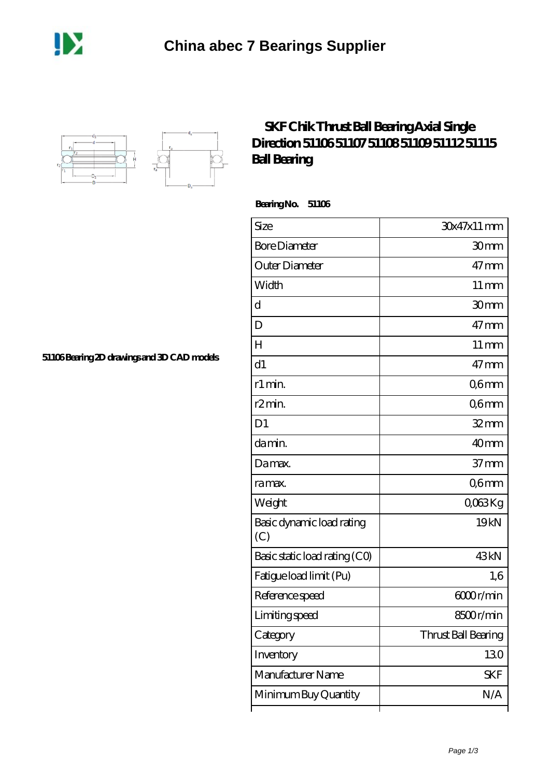



## **[SKF Chik Thrust Ball Bearing Axial Single](https://m.dannysguitarshop.tv/skf-51106-bearing/skf-51106/) [Direction 51106 51107 51108 51109 51112 51115](https://m.dannysguitarshop.tv/skf-51106-bearing/skf-51106/) [Ball Bearing](https://m.dannysguitarshop.tv/skf-51106-bearing/skf-51106/)**

 **Bearing No. 51106**

ľ

| Size                             | 30x47x11 mm         |
|----------------------------------|---------------------|
| <b>Bore Diameter</b>             | 30mm                |
| Outer Diameter                   | $47 \text{mm}$      |
| Width                            | $11 \,\mathrm{mm}$  |
| d                                | 30mm                |
| D                                | $47 \text{mm}$      |
| H                                | $11 \,\mathrm{mm}$  |
| d1                               | $47 \text{mm}$      |
| r1 min.                          | Q6mm                |
| r <sub>2</sub> min.              | Q6mm                |
| D <sub>1</sub>                   | $32$ mm             |
| da min.                          | 40 <sub>mm</sub>    |
| Damax.                           | 37 <sub>mm</sub>    |
| ra max.                          | Q6mm                |
| Weight                           | QO63Kg              |
| Basic dynamic load rating<br>(C) | 19 <sub>kN</sub>    |
| Basic static load rating (CO)    | 43kN                |
| Fatigue load limit (Pu)          | 1,6                 |
| Reference speed                  | 6000r/min           |
| Limiting speed                   | 8500r/min           |
| Category                         | Thrust Ball Bearing |
| Inventory                        | 130                 |
| Manufacturer Name                | SKF                 |
| Minimum Buy Quantity             | N/A                 |

⊺

**[51106 Bearing 2D drawings and 3D CAD models](https://m.dannysguitarshop.tv/pic-807647.html)**

٦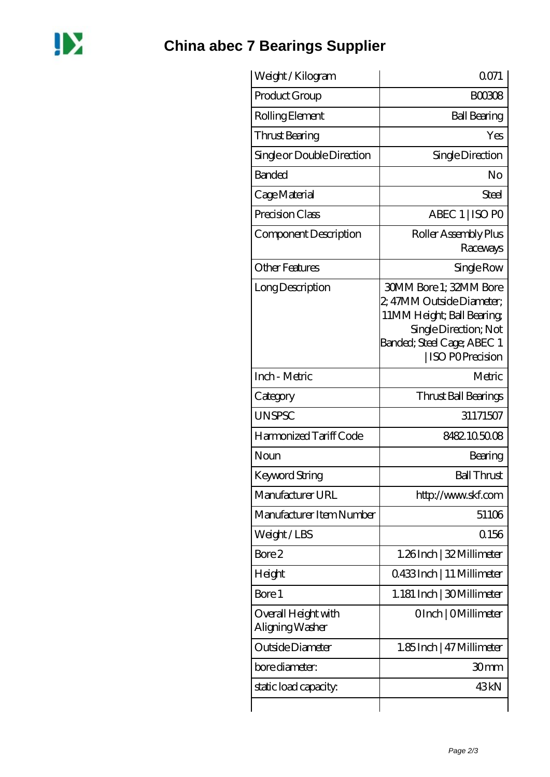

## **[China abec 7 Bearings Supplier](https://m.dannysguitarshop.tv)**

| Weight / Kilogram                      | 0071                                                                                                                                                               |
|----------------------------------------|--------------------------------------------------------------------------------------------------------------------------------------------------------------------|
| Product Group                          | <b>BOO308</b>                                                                                                                                                      |
| Rolling Element                        | <b>Ball Bearing</b>                                                                                                                                                |
| Thrust Bearing                         | Yes                                                                                                                                                                |
| Single or Double Direction             | Single Direction                                                                                                                                                   |
| <b>Banded</b>                          | $N_{\Omega}$                                                                                                                                                       |
| Cage Material                          | Steel                                                                                                                                                              |
| Precision Class                        | ABEC 1   ISO PO                                                                                                                                                    |
| Component Description                  | Roller Assembly Plus<br>Raceways                                                                                                                                   |
| <b>Other Features</b>                  | Single Row                                                                                                                                                         |
| Long Description                       | 30MM Bore 1; 32MM Bore<br>2, 47MM Outside Diameter;<br>11MM Height; Ball Bearing;<br>Single Direction; Not<br>Banded; Steel Cage; ABEC 1<br><b>ISO POPrecision</b> |
| Inch - Metric                          | Metric                                                                                                                                                             |
| Category                               | Thrust Ball Bearings                                                                                                                                               |
| <b>UNSPSC</b>                          | 31171507                                                                                                                                                           |
| Harmonized Tariff Code                 | 8482105008                                                                                                                                                         |
| Noun                                   | Bearing                                                                                                                                                            |
| <b>Keyword String</b>                  | <b>Ball Thrust</b>                                                                                                                                                 |
| Manufacturer URL                       | http://www.skf.com                                                                                                                                                 |
| Manufacturer Item Number               | 51106                                                                                                                                                              |
| Weight/LBS                             | Q156                                                                                                                                                               |
| Bore 2                                 | 1.26Inch   32 Millimeter                                                                                                                                           |
| Height                                 | 0433Inch   11 Millimeter                                                                                                                                           |
| Bore 1                                 | 1.181 Inch   30 Millimeter                                                                                                                                         |
| Overall Height with<br>Aligning Washer | OInch   OMillimeter                                                                                                                                                |
| Outside Diameter                       | 1.85Inch   47 Millimeter                                                                                                                                           |
| bore diameter:                         | 30mm                                                                                                                                                               |
| static load capacity:                  | 43kN                                                                                                                                                               |
|                                        |                                                                                                                                                                    |